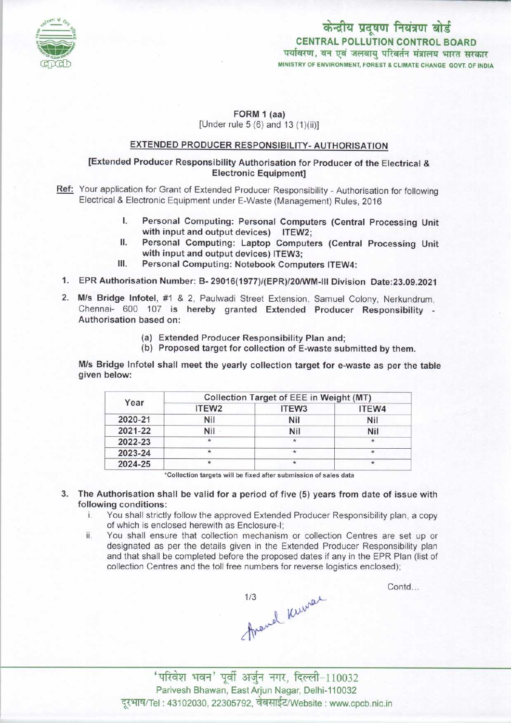

# केन्द्रीय प्रदूषण नियंत्रण बोर्ड CENTRAL POLLUTION CONTROL BOARD<br>पर्यावरण, वन एवं जलवाय परिवर्तन मंत्रालय भारत सरकार MINISTRY OF ENVIRONMENT, FOREST & CLIMATE CHANGE GOVT. OF INDIA

#### FORM 1 (aa) [Under rule  $5(6)$  and  $13(1)(ii)$ ]

## EXTENDED PRODUCER RESPONSIBILITY-AUTHORISATION

### [Extended Producer Responsibility Authorisation for Producer of the Electrical & Electronic Equipment]

- Ref: Your application for Grant of Extended Producer Responsibility Authorisation for following Electrical & Electronic Equipment under E-Waste (Management) Rules, 2016
	- Electronic Equipment under E-Waste (Management) Rules, 2016<br>I. Personal Computing: Personal Computers (Central Processing Unit<br>with input and output devices) ITEW? with input and output devices) ITEW2;<br>Personal Computing: Laptop Computers (Central Processing Unit I. Personal Computing: Personal Computers (Central Processing Unit with input and output devices) ITEW2;<br>II. Personal Computing: Laptop Computers (Central Processing Unit with input and output devices) ITEW3.
	- with input and output devices) ITEW3; II. Personal Computing: Laptop Computers (Centra<br>with input and output devices) ITEW3;<br>III. Personal Computing: Notebook Computers ITEW4:
	-
	- 1.EPR Authorisation Number: B- 29016(1977)/(EPR)/20/WM-lll Division Date:23.09.2021
	- 2.M/s Bridge Infotel, #1 & 2, Paulwadi Street Extension, Samuel Colony, Nerkundrum, Chennai- 600 107 is hereby granted Extended Producer Responsibility - Authorisation based on:
		- (a)Extended Producer Responsibility Plan and;
		- (b) Proposed target for collection of E-waste submitted by them.

M/s Bridge Infotel shall meet the yearly collection target for e-waste as per the table given below:

| Year    | <b>Collection Target of EEE in Weight (MT)</b> |                   |         |
|---------|------------------------------------------------|-------------------|---------|
|         | ITEW <sub>2</sub>                              | ITEW <sub>3</sub> | ITEW4   |
| 2020-21 | <b>Nil</b>                                     | Nil               | Nil     |
| 2021-22 | Nil -                                          | <b>Nil</b>        | Nil     |
| 2022-23 | ÷                                              | $\star$           | $\star$ |
| 2023-24 |                                                | $\star$           |         |
| 2024-25 |                                                | $^{\star}$        |         |

'Collection targets will be fixed after submission of sales data

3. The Authorisation shall be valid for a period of five (5) years from date of issue with following conditions:<br>i You shall strictly

- You shall strictly follow the approved Extended Producer Responsibility plan, a copy of which is enclosed herewith as Enclosure-I;
- ii. You shall ensure that collection mechanism or collection Centres are set up or designated as per the details given in the Extended Producer Responsibility plan and that shall be completed before the proposed dates if any in the EPR Plan (list of collection Centres and the toll free numbers for reverse logistics enclosed);

1993)<br>1998 - अल्लाहर के साथ पर स्थान में परिवेश<br>अपने पूर्वी अर्जुन नगर, दिल्ली-110032

Contd...

Parivesh Bhawan, East Arjun Nagar, Delhi-110032 दूरभाष/Tel : 43102030, 22305792, वेबसाईट/Website : www.cpcb.nic.in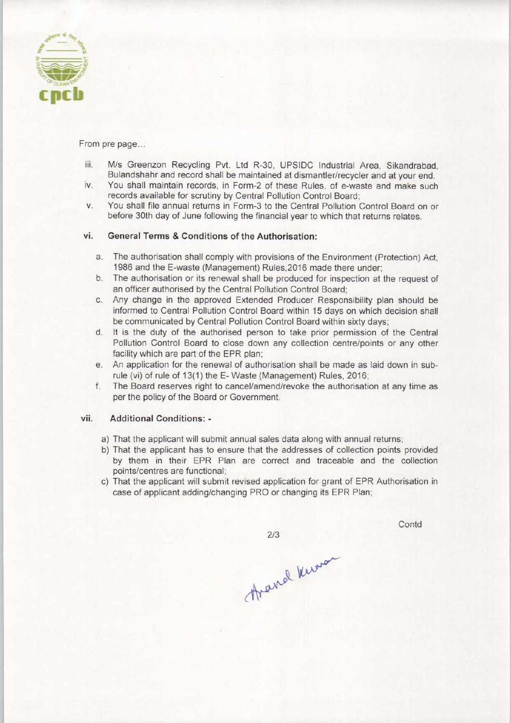

From pre page...

- iii. M/s Greenzon Recycling Pvt. Ltd R-30, UPSIDC Industrial Area, Sikandrabad, Bulandshahr and record shall be maintained at dismantler/recycler and at your end.
- iv. You shall maintain records, in Form-2 of these Rules, of e-waste and make such records available for scrutiny by Central Pollution Control Board;
- v. You shall file annual returns in Form-3 to the Central Pollution Control Board on or before 30th day of June following the financial year to which that returns relates.

#### vi. General Terms & Conditions of the Authorisation:

- a.The authorisation shall comply with provisions ofthe Environment (Protection) Act, 1986 and the E-waste (Management) Rules,2016 made there under;
- b. The authorisation or its renewal shall be produced for inspection at the request of an officer authorised by the Central Pollution Control Board;
- c.Any change in the approved Extended Producer Responsibility plan should be informed to Central Pollution Control Board within 15 days on which decision shall be communicated by Central Pollution Control Board within sixty days;
- d. It is the duty of the authorised person to take prior permission of the Central Pollution Control Board to close down any collection centre/points or any other facility which are part of the EPR plan;
- e.An application for the renewal of authorisation shall be made aslaid down in subrule (vi) of rule of 13(1) the E-Waste (Management) Rules, 2016;
- f. The Board reserves right to cancel/amend/revoke the authorisation at any time as per the policy of the Board or Government.

#### vii. Additional Conditions: -

- a) That the applicant will submit annual sales data along with annual returns;
- b) That the applicant has to ensure that the addresses of collection points provided by them in their EPR Plan are correct and traceable and the collection points/centres are functional;
- c) That the applicant will submit revised application for grant of EPR Authorisation in case of applicant adding/changing PRO or changing its EPR Plan;

 $2/3$ 

Avarral Kinson

Contd